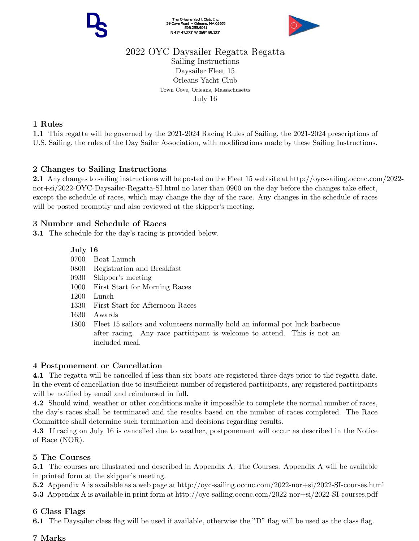

# 2022 OYC Daysailer Regatta Regatta

Sailing Instructions Daysailer Fleet 15 Orleans Yacht Club Town Cove, Orleans, Massachusetts July 16

### 1 Rules

1.1 This regatta will be governed by the 2021-2024 Racing Rules of Sailing, the 2021-2024 prescriptions of U.S. Sailing, the rules of the Day Sailer Association, with modifications made by these Sailing Instructions.

## 2 Changes to Sailing Instructions

2.1 Any changes to sailing instructions will be posted on the Fleet 15 web site at http://oyc-sailing.occnc.com/2022 nor+si/2022-OYC-Daysailer-Regatta-SI.html no later than 0900 on the day before the changes take effect, except the schedule of races, which may change the day of the race. Any changes in the schedule of races will be posted promptly and also reviewed at the skipper's meeting.

## 3 Number and Schedule of Races

3.1 The schedule for the day's racing is provided below.

### July 16

- 0700 Boat Launch
- 0800 Registration and Breakfast
- 0930 Skipper's meeting
- 1000 First Start for Morning Races
- 1200 Lunch
- 1330 First Start for Afternoon Races
- 1630 Awards
- 1800 Fleet 15 sailors and volunteers normally hold an informal pot luck barbecue after racing. Any race participant is welcome to attend. This is not an included meal.

## 4 Postponement or Cancellation

4.1 The regatta will be cancelled if less than six boats are registered three days prior to the regatta date. In the event of cancellation due to insufficient number of registered participants, any registered participants will be notified by email and reimbursed in full.

4.2 Should wind, weather or other conditions make it impossible to complete the normal number of races, the day's races shall be terminated and the results based on the number of races completed. The Race Committee shall determine such termination and decisions regarding results.

4.3 If racing on July 16 is cancelled due to weather, postponement will occur as described in the Notice of Race (NOR).

## 5 The Courses

5.1 The courses are illustrated and described in Appendix A: The Courses. Appendix A will be available in printed form at the skipper's meeting.

5.2 Appendix A is available as a web page at http://oyc-sailing.occnc.com/2022-nor+si/2022-SI-courses.html 5.3 Appendix A is available in print form at http://oyc-sailing.occnc.com/2022-nor+si/2022-SI-courses.pdf

## 6 Class Flags

6.1 The Daysailer class flag will be used if available, otherwise the "D" flag will be used as the class flag.

#### 7 Marks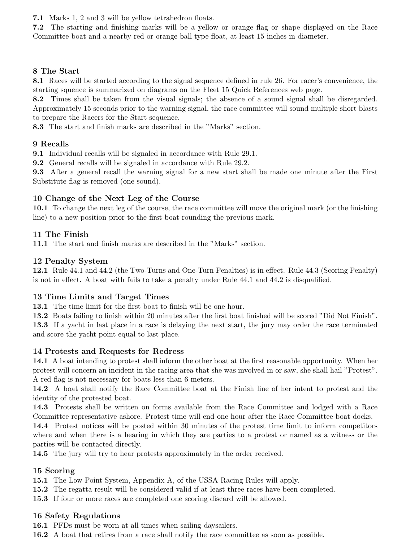7.1 Marks 1, 2 and 3 will be yellow tetrahedron floats.

7.2 The starting and finishing marks will be a yellow or orange flag or shape displayed on the Race Committee boat and a nearby red or orange ball type float, at least 15 inches in diameter.

#### 8 The Start

8.1 Races will be started according to the signal sequence defined in rule 26. For racer's convenience, the starting squence is summarized on diagrams on the Fleet 15 Quick References web page.

8.2 Times shall be taken from the visual signals; the absence of a sound signal shall be disregarded. Approximately 15 seconds prior to the warning signal, the race committee will sound multiple short blasts to prepare the Racers for the Start sequence.

8.3 The start and finish marks are described in the "Marks" section.

#### 9 Recalls

9.1 Individual recalls will be signaled in accordance with Rule 29.1.

9.2 General recalls will be signaled in accordance with Rule 29.2.

9.3 After a general recall the warning signal for a new start shall be made one minute after the First Substitute flag is removed (one sound).

#### 10 Change of the Next Leg of the Course

10.1 To change the next leg of the course, the race committee will move the original mark (or the finishing line) to a new position prior to the first boat rounding the previous mark.

#### 11 The Finish

11.1 The start and finish marks are described in the "Marks" section.

#### 12 Penalty System

12.1 Rule 44.1 and 44.2 (the Two-Turns and One-Turn Penalties) is in effect. Rule 44.3 (Scoring Penalty) is not in effect. A boat with fails to take a penalty under Rule 44.1 and 44.2 is disqualified.

#### 13 Time Limits and Target Times

13.1 The time limit for the first boat to finish will be one hour.

13.2 Boats failing to finish within 20 minutes after the first boat finished will be scored "Did Not Finish". 13.3 If a yacht in last place in a race is delaying the next start, the jury may order the race terminated and score the yacht point equal to last place.

#### 14 Protests and Requests for Redress

14.1 A boat intending to protest shall inform the other boat at the first reasonable opportunity. When her protest will concern an incident in the racing area that she was involved in or saw, she shall hail "Protest". A red flag is not necessary for boats less than 6 meters.

14.2 A boat shall notify the Race Committee boat at the Finish line of her intent to protest and the identity of the protested boat.

14.3 Protests shall be written on forms available from the Race Committee and lodged with a Race Committee representative ashore. Protest time will end one hour after the Race Committee boat docks.

14.4 Protest notices will be posted within 30 minutes of the protest time limit to inform competitors where and when there is a hearing in which they are parties to a protest or named as a witness or the parties will be contacted directly.

14.5 The jury will try to hear protests approximately in the order received.

#### 15 Scoring

15.1 The Low-Point System, Appendix A, of the USSA Racing Rules will apply.

15.2 The regatta result will be considered valid if at least three races have been completed.

15.3 If four or more races are completed one scoring discard will be allowed.

#### 16 Safety Regulations

16.1 PFDs must be worn at all times when sailing daysailers.

16.2 A boat that retires from a race shall notify the race committee as soon as possible.